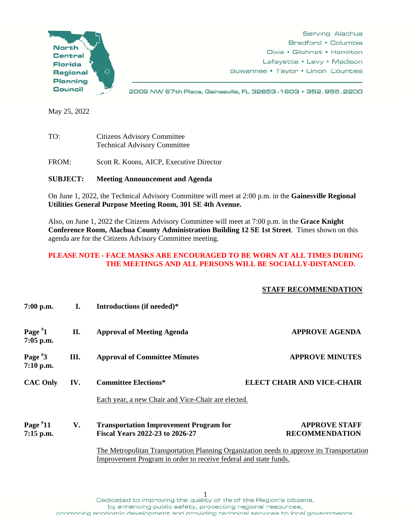

Serving Alachua Bradford • Columbia Dixie • Gilchrist • Hamilton Lafayette • Levy • Madison Suwannee • Taylor • Union Counties

2009 NW 67th Place, Gainesville, FL 32653-1603 · 352.955.2200

May 25, 2022

TO: Citizens Advisory Committee Technical Advisory Committee

FROM: Scott R. Koons, AICP, Executive Director

**SUBJECT: Meeting Announcement and Agenda** 

On June 1, 2022, the Technical Advisory Committee will meet at 2:00 p.m. in the **Gainesville Regional Utilities General Purpose Meeting Room, 301 SE 4th Avenue.** 

Also, on June 1, 2022 the Citizens Advisory Committee will meet at 7:00 p.m. in the **Grace Knight Conference Room, Alachua County Administration Building 12 SE 1st Street**. Times shown on this agenda are for the Citizens Advisory Committee meeting.

## **PLEASE NOTE - FACE MASKS ARE ENCOURAGED TO BE WORN AT ALL TIMES DURING THE MEETINGS AND ALL PERSONS WILL BE SOCIALLY-DISTANCED.**

## **STAFF RECOMMENDATION**

| $7:00$ p.m.               | I.  | Introductions (if needed)*                                                                                                                                    |                                               |  |
|---------------------------|-----|---------------------------------------------------------------------------------------------------------------------------------------------------------------|-----------------------------------------------|--|
| Page $*1$<br>$7:05$ p.m.  | II. | <b>Approval of Meeting Agenda</b>                                                                                                                             | <b>APPROVE AGENDA</b>                         |  |
| Page $*3$<br>$7:10$ p.m.  | Ш.  | <b>Approval of Committee Minutes</b>                                                                                                                          | <b>APPROVE MINUTES</b>                        |  |
| <b>CAC Only</b>           | IV. | <b>Committee Elections*</b>                                                                                                                                   | <b>ELECT CHAIR AND VICE-CHAIR</b>             |  |
|                           |     | Each year, a new Chair and Vice-Chair are elected.                                                                                                            |                                               |  |
| Page $*11$<br>$7:15$ p.m. | V.  | <b>Transportation Improvement Program for</b><br><b>Fiscal Years 2022-23 to 2026-27</b>                                                                       | <b>APPROVE STAFF</b><br><b>RECOMMENDATION</b> |  |
|                           |     | The Metropolitan Transportation Planning Organization needs to approve its Transportation<br>Improvement Program in order to receive federal and state funds. |                                               |  |